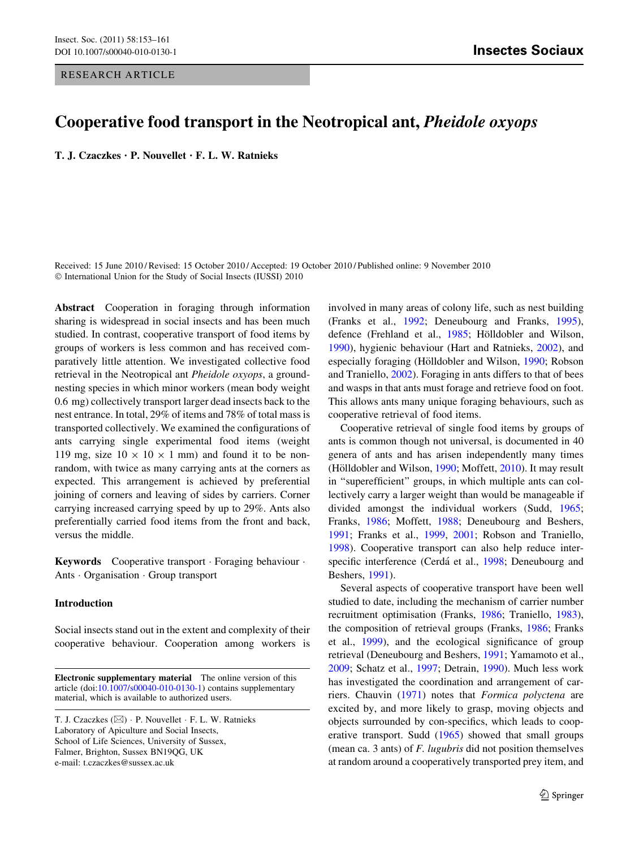# Cooperative food transport in the Neotropical ant, Pheidole oxyops

T. J. Czaczkes • P. Nouvellet • F. L. W. Ratnieks

Received: 15 June 2010 / Revised: 15 October 2010 / Accepted: 19 October 2010 / Published online: 9 November 2010 © International Union for the Study of Social Insects (IUSSI) 2010

Abstract Cooperation in foraging through information sharing is widespread in social insects and has been much studied. In contrast, cooperative transport of food items by groups of workers is less common and has received comparatively little attention. We investigated collective food retrieval in the Neotropical ant Pheidole oxyops, a groundnesting species in which minor workers (mean body weight 0.6 mg) collectively transport larger dead insects back to the nest entrance. In total, 29% of items and 78% of total mass is transported collectively. We examined the configurations of ants carrying single experimental food items (weight 119 mg, size  $10 \times 10 \times 1$  mm) and found it to be nonrandom, with twice as many carrying ants at the corners as expected. This arrangement is achieved by preferential joining of corners and leaving of sides by carriers. Corner carrying increased carrying speed by up to 29%. Ants also preferentially carried food items from the front and back, versus the middle.

Keywords Cooperative transport · Foraging behaviour · Ants - Organisation - Group transport

# Introduction

Social insects stand out in the extent and complexity of their cooperative behaviour. Cooperation among workers is involved in many areas of colony life, such as nest building (Franks et al., [1992;](#page-7-0) Deneubourg and Franks, [1995](#page-7-0)), defence (Frehland et al., [1985;](#page-7-0) Hölldobler and Wilson, [1990](#page-7-0)), hygienic behaviour (Hart and Ratnieks, [2002](#page-7-0)), and especially foraging (Hölldobler and Wilson, [1990;](#page-7-0) Robson and Traniello, [2002\)](#page-8-0). Foraging in ants differs to that of bees and wasps in that ants must forage and retrieve food on foot. This allows ants many unique foraging behaviours, such as cooperative retrieval of food items.

Cooperative retrieval of single food items by groups of ants is common though not universal, is documented in 40 genera of ants and has arisen independently many times (Hölldobler and Wilson, [1990;](#page-7-0) Moffett, [2010\)](#page-7-0). It may result in "superefficient" groups, in which multiple ants can collectively carry a larger weight than would be manageable if divided amongst the individual workers (Sudd, [1965](#page-8-0); Franks, [1986](#page-7-0); Moffett, [1988;](#page-7-0) Deneubourg and Beshers, [1991](#page-7-0); Franks et al., [1999](#page-7-0), [2001;](#page-7-0) Robson and Traniello, [1998](#page-8-0)). Cooperative transport can also help reduce inter-specific interference (Cerdá et al., [1998](#page-7-0); Deneubourg and Beshers, [1991](#page-7-0)).

Several aspects of cooperative transport have been well studied to date, including the mechanism of carrier number recruitment optimisation (Franks, [1986](#page-7-0); Traniello, [1983](#page-8-0)), the composition of retrieval groups (Franks, [1986;](#page-7-0) Franks et al., [1999\)](#page-7-0), and the ecological significance of group retrieval (Deneubourg and Beshers, [1991](#page-7-0); Yamamoto et al., [2009](#page-8-0); Schatz et al., [1997](#page-8-0); Detrain, [1990\)](#page-7-0). Much less work has investigated the coordination and arrangement of carriers. Chauvin ([1971\)](#page-7-0) notes that Formica polyctena are excited by, and more likely to grasp, moving objects and objects surrounded by con-specifics, which leads to cooperative transport. Sudd ([1965\)](#page-8-0) showed that small groups (mean ca. 3 ants) of F. lugubris did not position themselves at random around a cooperatively transported prey item, and

Electronic supplementary material The online version of this article (doi[:10.1007/s00040-010-0130-1](http://dx.doi.org/10.1007/s00040-010-0130-1)) contains supplementary material, which is available to authorized users.

T. J. Czaczkes (&) - P. Nouvellet - F. L. W. Ratnieks Laboratory of Apiculture and Social Insects, School of Life Sciences, University of Sussex, Falmer, Brighton, Sussex BN19QG, UK e-mail: t.czaczkes@sussex.ac.uk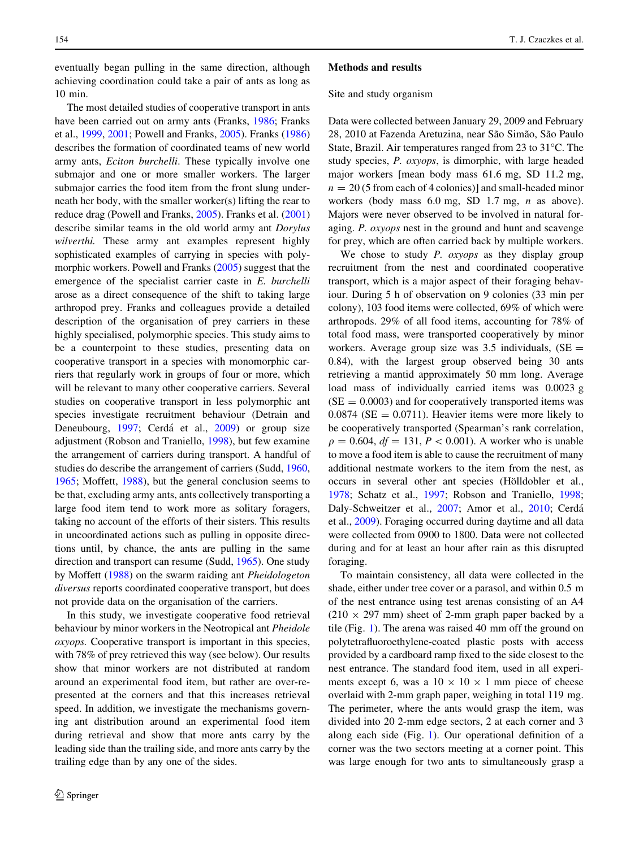eventually began pulling in the same direction, although achieving coordination could take a pair of ants as long as 10 min.

The most detailed studies of cooperative transport in ants have been carried out on army ants (Franks, [1986;](#page-7-0) Franks et al., [1999](#page-7-0), [2001](#page-7-0); Powell and Franks, [2005\)](#page-8-0). Franks ([1986\)](#page-7-0) describes the formation of coordinated teams of new world army ants, Eciton burchelli. These typically involve one submajor and one or more smaller workers. The larger submajor carries the food item from the front slung underneath her body, with the smaller worker(s) lifting the rear to reduce drag (Powell and Franks, [2005\)](#page-8-0). Franks et al. ([2001\)](#page-7-0) describe similar teams in the old world army ant Dorylus wilverthi. These army ant examples represent highly sophisticated examples of carrying in species with polymorphic workers. Powell and Franks [\(2005](#page-8-0)) suggest that the emergence of the specialist carrier caste in E. burchelli arose as a direct consequence of the shift to taking large arthropod prey. Franks and colleagues provide a detailed description of the organisation of prey carriers in these highly specialised, polymorphic species. This study aims to be a counterpoint to these studies, presenting data on cooperative transport in a species with monomorphic carriers that regularly work in groups of four or more, which will be relevant to many other cooperative carriers. Several studies on cooperative transport in less polymorphic ant species investigate recruitment behaviour (Detrain and Deneubourg, [1997](#page-7-0); Cerdá et al., [2009](#page-7-0)) or group size adjustment (Robson and Traniello, [1998](#page-8-0)), but few examine the arrangement of carriers during transport. A handful of studies do describe the arrangement of carriers (Sudd, [1960,](#page-8-0) [1965;](#page-8-0) Moffett, [1988](#page-7-0)), but the general conclusion seems to be that, excluding army ants, ants collectively transporting a large food item tend to work more as solitary foragers, taking no account of the efforts of their sisters. This results in uncoordinated actions such as pulling in opposite directions until, by chance, the ants are pulling in the same direction and transport can resume (Sudd, [1965](#page-8-0)). One study by Moffett ([1988\)](#page-7-0) on the swarm raiding ant Pheidologeton diversus reports coordinated cooperative transport, but does not provide data on the organisation of the carriers.

In this study, we investigate cooperative food retrieval behaviour by minor workers in the Neotropical ant Pheidole oxyops. Cooperative transport is important in this species, with 78% of prey retrieved this way (see below). Our results show that minor workers are not distributed at random around an experimental food item, but rather are over-represented at the corners and that this increases retrieval speed. In addition, we investigate the mechanisms governing ant distribution around an experimental food item during retrieval and show that more ants carry by the leading side than the trailing side, and more ants carry by the trailing edge than by any one of the sides.

#### Methods and results

#### Site and study organism

Data were collected between January 29, 2009 and February 28, 2010 at Fazenda Aretuzina, near São Simão, São Paulo State, Brazil. Air temperatures ranged from 23 to  $31^{\circ}$ C. The study species, P. oxyops, is dimorphic, with large headed major workers [mean body mass 61.6 mg, SD 11.2 mg,  $n = 20$  (5 from each of 4 colonies)] and small-headed minor workers (body mass 6.0 mg, SD 1.7 mg, *n* as above). Majors were never observed to be involved in natural foraging. P. oxyops nest in the ground and hunt and scavenge for prey, which are often carried back by multiple workers.

We chose to study  $P$ .  $oxyops$  as they display group recruitment from the nest and coordinated cooperative transport, which is a major aspect of their foraging behaviour. During 5 h of observation on 9 colonies (33 min per colony), 103 food items were collected, 69% of which were arthropods. 29% of all food items, accounting for 78% of total food mass, were transported cooperatively by minor workers. Average group size was  $3.5$  individuals, (SE = 0.84), with the largest group observed being 30 ants retrieving a mantid approximately 50 mm long. Average load mass of individually carried items was 0.0023 g  $(SE = 0.0003)$  and for cooperatively transported items was  $0.0874$  (SE = 0.0711). Heavier items were more likely to be cooperatively transported (Spearman's rank correlation,  $\rho = 0.604$ ,  $df = 131$ ,  $P < 0.001$ ). A worker who is unable to move a food item is able to cause the recruitment of many additional nestmate workers to the item from the nest, as occurs in several other ant species (Hölldobler et al., [1978](#page-7-0); Schatz et al., [1997;](#page-8-0) Robson and Traniello, [1998](#page-8-0); Daly-Schweitzer et al., [2007;](#page-7-0) Amor et al., [2010;](#page-7-0) Cerda´ et al., [2009\)](#page-7-0). Foraging occurred during daytime and all data were collected from 0900 to 1800. Data were not collected during and for at least an hour after rain as this disrupted foraging.

To maintain consistency, all data were collected in the shade, either under tree cover or a parasol, and within 0.5 m of the nest entrance using test arenas consisting of an A4  $(210 \times 297 \text{ mm})$  sheet of 2-mm graph paper backed by a tile (Fig. [1\)](#page-2-0). The arena was raised 40 mm off the ground on polytetrafluoroethylene-coated plastic posts with access provided by a cardboard ramp fixed to the side closest to the nest entrance. The standard food item, used in all experiments except 6, was a  $10 \times 10 \times 1$  mm piece of cheese overlaid with 2-mm graph paper, weighing in total 119 mg. The perimeter, where the ants would grasp the item, was divided into 20 2-mm edge sectors, 2 at each corner and 3 along each side (Fig. [1\)](#page-2-0). Our operational definition of a corner was the two sectors meeting at a corner point. This was large enough for two ants to simultaneously grasp a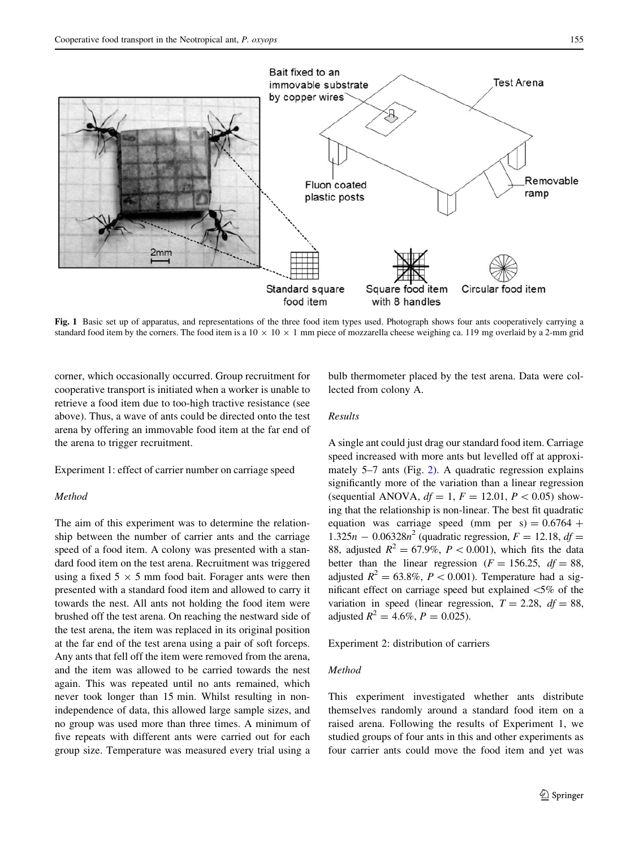<span id="page-2-0"></span>

Fig. 1 Basic set up of apparatus, and representations of the three food item types used. Photograph shows four ants cooperatively carrying a standard food item by the corners. The food item is a  $10 \times 10 \times 1$  mm piece of mozzarella cheese weighing ca. 119 mg overlaid by a 2-mm grid

corner, which occasionally occurred. Group recruitment for cooperative transport is initiated when a worker is unable to retrieve a food item due to too-high tractive resistance (see above). Thus, a wave of ants could be directed onto the test arena by offering an immovable food item at the far end of the arena to trigger recruitment.

Experiment 1: effect of carrier number on carriage speed

# Method

The aim of this experiment was to determine the relationship between the number of carrier ants and the carriage speed of a food item. A colony was presented with a standard food item on the test arena. Recruitment was triggered using a fixed  $5 \times 5$  mm food bait. Forager ants were then presented with a standard food item and allowed to carry it towards the nest. All ants not holding the food item were brushed off the test arena. On reaching the nestward side of the test arena, the item was replaced in its original position at the far end of the test arena using a pair of soft forceps. Any ants that fell off the item were removed from the arena, and the item was allowed to be carried towards the nest again. This was repeated until no ants remained, which never took longer than 15 min. Whilst resulting in nonindependence of data, this allowed large sample sizes, and no group was used more than three times. A minimum of five repeats with different ants were carried out for each group size. Temperature was measured every trial using a

bulb thermometer placed by the test arena. Data were collected from colony A.

# Results

A single ant could just drag our standard food item. Carriage speed increased with more ants but levelled off at approximately 5–7 ants (Fig. [2\)](#page-3-0). A quadratic regression explains significantly more of the variation than a linear regression (sequential ANOVA,  $df = 1$ ,  $F = 12.01$ ,  $P < 0.05$ ) showing that the relationship is non-linear. The best fit quadratic equation was carriage speed (mm per  $s$ ) = 0.6764 +  $1.325n - 0.06328n^2$  (quadratic regression,  $F = 12.18$ ,  $df =$ 88, adjusted  $R^2 = 67.9\%, P < 0.001$ , which fits the data better than the linear regression ( $F = 156.25$ ,  $df = 88$ , adjusted  $R^2 = 63.8\%, P < 0.001$ . Temperature had a significant effect on carriage speed but explained  $\leq 5\%$  of the variation in speed (linear regression,  $T = 2.28$ ,  $df = 88$ , adjusted  $R^2 = 4.6\%, P = 0.025$ .

Experiment 2: distribution of carriers

## Method

This experiment investigated whether ants distribute themselves randomly around a standard food item on a raised arena. Following the results of Experiment 1, we studied groups of four ants in this and other experiments as four carrier ants could move the food item and yet was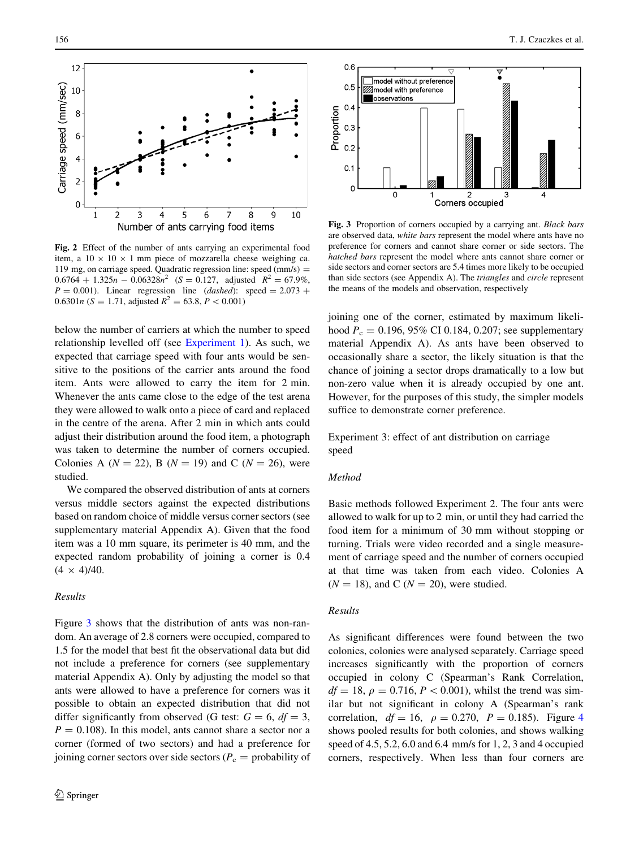<span id="page-3-0"></span>

Fig. 2 Effect of the number of ants carrying an experimental food item, a  $10 \times 10 \times 1$  mm piece of mozzarella cheese weighing ca. 119 mg, on carriage speed. Quadratic regression line: speed  $\text{(mm/s)} =$  $0.6764 + 1.325n - 0.06328n^2$  (S = 0.127, adjusted  $R^2 = 67.9\%$ ,  $P = 0.001$ ). Linear regression line (dashed): speed = 2.073 + 0.6301*n* (S = 1.71, adjusted  $R^2 = 63.8, P < 0.001$ )

below the number of carriers at which the number to speed relationship levelled off (see [Experiment 1\)](#page-2-0). As such, we expected that carriage speed with four ants would be sensitive to the positions of the carrier ants around the food item. Ants were allowed to carry the item for 2 min. Whenever the ants came close to the edge of the test arena they were allowed to walk onto a piece of card and replaced in the centre of the arena. After 2 min in which ants could adjust their distribution around the food item, a photograph was taken to determine the number of corners occupied. Colonies A ( $N = 22$ ), B ( $N = 19$ ) and C ( $N = 26$ ), were studied.

We compared the observed distribution of ants at corners versus middle sectors against the expected distributions based on random choice of middle versus corner sectors (see supplementary material Appendix A). Given that the food item was a 10 mm square, its perimeter is 40 mm, and the expected random probability of joining a corner is 0.4  $(4 \times 4)/40$ .

## Results

Figure 3 shows that the distribution of ants was non-random. An average of 2.8 corners were occupied, compared to 1.5 for the model that best fit the observational data but did not include a preference for corners (see supplementary material Appendix A). Only by adjusting the model so that ants were allowed to have a preference for corners was it possible to obtain an expected distribution that did not differ significantly from observed (G test:  $G = 6$ ,  $df = 3$ ,  $P = 0.108$ ). In this model, ants cannot share a sector nor a corner (formed of two sectors) and had a preference for joining corner sectors over side sectors ( $P_c$  = probability of



Fig. 3 Proportion of corners occupied by a carrying ant. Black bars are observed data, white bars represent the model where ants have no preference for corners and cannot share corner or side sectors. The hatched bars represent the model where ants cannot share corner or side sectors and corner sectors are 5.4 times more likely to be occupied than side sectors (see Appendix A). The triangles and circle represent the means of the models and observation, respectively

joining one of the corner, estimated by maximum likelihood  $P_c = 0.196, 95\% \text{ CI } 0.184, 0.207$ ; see supplementary material Appendix A). As ants have been observed to occasionally share a sector, the likely situation is that the chance of joining a sector drops dramatically to a low but non-zero value when it is already occupied by one ant. However, for the purposes of this study, the simpler models suffice to demonstrate corner preference.

Experiment 3: effect of ant distribution on carriage speed

## Method

Basic methods followed Experiment 2. The four ants were allowed to walk for up to 2 min, or until they had carried the food item for a minimum of 30 mm without stopping or turning. Trials were video recorded and a single measurement of carriage speed and the number of corners occupied at that time was taken from each video. Colonies A  $(N = 18)$ , and C  $(N = 20)$ , were studied.

### Results

As significant differences were found between the two colonies, colonies were analysed separately. Carriage speed increases significantly with the proportion of corners occupied in colony C (Spearman's Rank Correlation,  $df = 18$ ,  $\rho = 0.716$ ,  $P < 0.001$ ), whilst the trend was similar but not significant in colony A (Spearman's rank correlation,  $df = 16$ ,  $\rho = 0.270$ ,  $P = 0.185$ ). Figure [4](#page-4-0) shows pooled results for both colonies, and shows walking speed of 4.5, 5.2, 6.0 and 6.4 mm/s for 1, 2, 3 and 4 occupied corners, respectively. When less than four corners are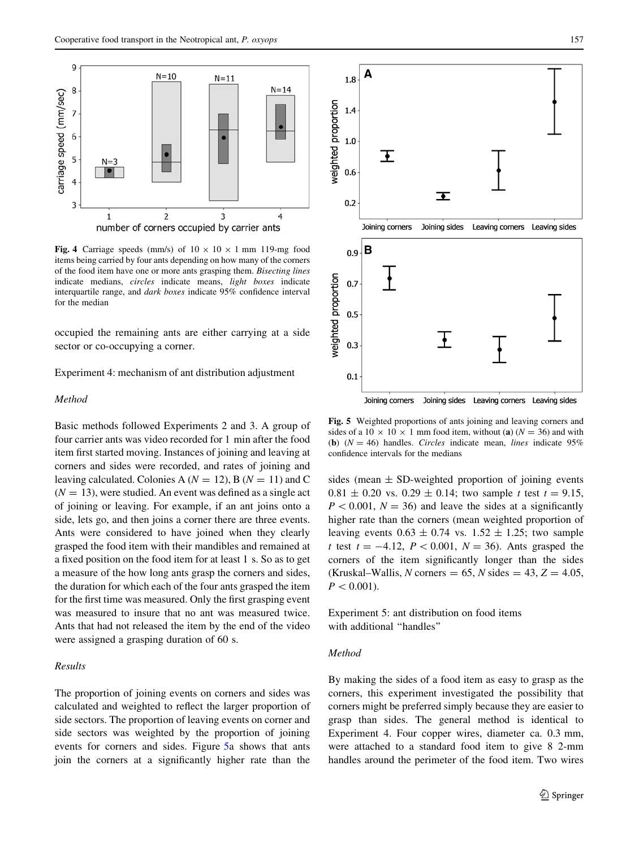<span id="page-4-0"></span>

Fig. 4 Carriage speeds (mm/s) of  $10 \times 10 \times 1$  mm 119-mg food items being carried by four ants depending on how many of the corners of the food item have one or more ants grasping them. Bisecting lines indicate medians, circles indicate means, light boxes indicate interquartile range, and dark boxes indicate 95% confidence interval for the median

occupied the remaining ants are either carrying at a side sector or co-occupying a corner.

Experiment 4: mechanism of ant distribution adjustment

## Method

Basic methods followed Experiments 2 and 3. A group of four carrier ants was video recorded for 1 min after the food item first started moving. Instances of joining and leaving at corners and sides were recorded, and rates of joining and leaving calculated. Colonies A ( $N = 12$ ), B ( $N = 11$ ) and C  $(N = 13)$ , were studied. An event was defined as a single act of joining or leaving. For example, if an ant joins onto a side, lets go, and then joins a corner there are three events. Ants were considered to have joined when they clearly grasped the food item with their mandibles and remained at a fixed position on the food item for at least 1 s. So as to get a measure of the how long ants grasp the corners and sides, the duration for which each of the four ants grasped the item for the first time was measured. Only the first grasping event was measured to insure that no ant was measured twice. Ants that had not released the item by the end of the video were assigned a grasping duration of 60 s.

## Results

The proportion of joining events on corners and sides was calculated and weighted to reflect the larger proportion of side sectors. The proportion of leaving events on corner and side sectors was weighted by the proportion of joining events for corners and sides. Figure 5a shows that ants join the corners at a significantly higher rate than the



Fig. 5 Weighted proportions of ants joining and leaving corners and sides of a 10  $\times$  10  $\times$  1 mm food item, without (a) (N = 36) and with (b)  $(N = 46)$  handles. *Circles* indicate mean, *lines* indicate 95% confidence intervals for the medians

sides (mean  $\pm$  SD-weighted proportion of joining events  $0.81 \pm 0.20$  vs.  $0.29 \pm 0.14$ ; two sample t test  $t = 9.15$ ,  $P < 0.001$ ,  $N = 36$ ) and leave the sides at a significantly higher rate than the corners (mean weighted proportion of leaving events  $0.63 \pm 0.74$  vs.  $1.52 \pm 1.25$ ; two sample t test  $t = -4.12$ ,  $P < 0.001$ ,  $N = 36$ ). Ants grasped the corners of the item significantly longer than the sides (Kruskal–Wallis, N corners = 65, N sides =  $43, Z = 4.05$ ,  $P < 0.001$ ).

Experiment 5: ant distribution on food items with additional ''handles''

## Method

By making the sides of a food item as easy to grasp as the corners, this experiment investigated the possibility that corners might be preferred simply because they are easier to grasp than sides. The general method is identical to Experiment 4. Four copper wires, diameter ca. 0.3 mm, were attached to a standard food item to give 8 2-mm handles around the perimeter of the food item. Two wires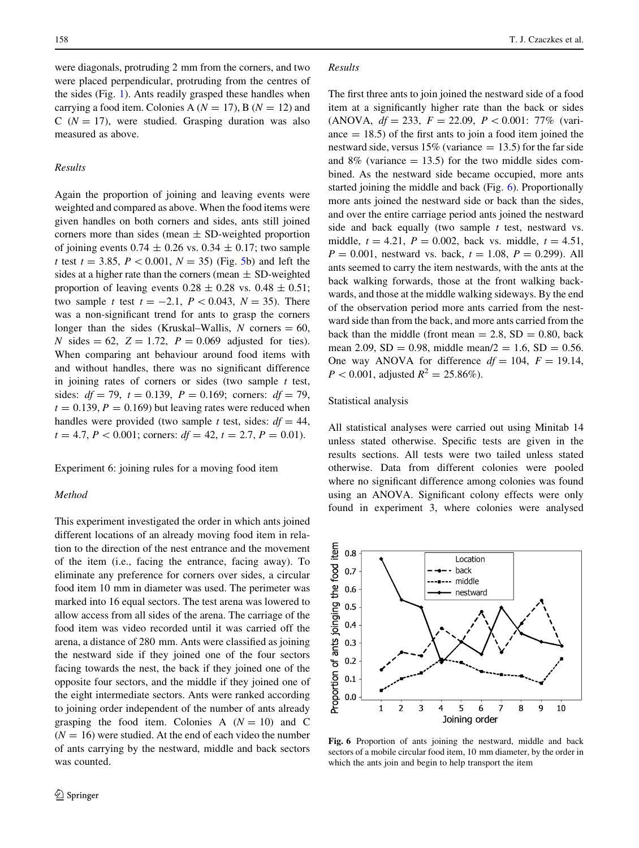<span id="page-5-0"></span>were diagonals, protruding 2 mm from the corners, and two were placed perpendicular, protruding from the centres of the sides (Fig. [1](#page-2-0)). Ants readily grasped these handles when carrying a food item. Colonies A ( $N = 17$ ), B ( $N = 12$ ) and C ( $N = 17$ ), were studied. Grasping duration was also measured as above.

# Results

Again the proportion of joining and leaving events were weighted and compared as above. When the food items were given handles on both corners and sides, ants still joined corners more than sides (mean  $\pm$  SD-weighted proportion of joining events  $0.74 \pm 0.26$  vs.  $0.34 \pm 0.17$ ; two sample t test  $t = 3.85$ ,  $P < 0.001$ ,  $N = 35$ ) (Fig. [5b](#page-4-0)) and left the sides at a higher rate than the corners (mean  $\pm$  SD-weighted proportion of leaving events  $0.28 \pm 0.28$  vs.  $0.48 \pm 0.51$ ; two sample t test  $t = -2.1$ ,  $P < 0.043$ ,  $N = 35$ ). There was a non-significant trend for ants to grasp the corners longer than the sides (Kruskal–Wallis, N corners  $= 60$ , N sides  $= 62$ ,  $Z = 1.72$ ,  $P = 0.069$  adjusted for ties). When comparing ant behaviour around food items with and without handles, there was no significant difference in joining rates of corners or sides (two sample  $t$  test, sides:  $df = 79$ ,  $t = 0.139$ ,  $P = 0.169$ ; corners:  $df = 79$ ,  $t = 0.139, P = 0.169$  but leaving rates were reduced when handles were provided (two sample t test, sides:  $df = 44$ ,  $t = 4.7, P < 0.001$ ; corners:  $df = 42, t = 2.7, P = 0.01$ .

Experiment 6: joining rules for a moving food item

#### Method

This experiment investigated the order in which ants joined different locations of an already moving food item in relation to the direction of the nest entrance and the movement of the item (i.e., facing the entrance, facing away). To eliminate any preference for corners over sides, a circular food item 10 mm in diameter was used. The perimeter was marked into 16 equal sectors. The test arena was lowered to allow access from all sides of the arena. The carriage of the food item was video recorded until it was carried off the arena, a distance of 280 mm. Ants were classified as joining the nestward side if they joined one of the four sectors facing towards the nest, the back if they joined one of the opposite four sectors, and the middle if they joined one of the eight intermediate sectors. Ants were ranked according to joining order independent of the number of ants already grasping the food item. Colonies A  $(N = 10)$  and C  $(N = 16)$  were studied. At the end of each video the number of ants carrying by the nestward, middle and back sectors was counted.

## Results

The first three ants to join joined the nestward side of a food item at a significantly higher rate than the back or sides (ANOVA,  $df = 233$ ,  $F = 22.09$ ,  $P < 0.001$ : 77% (variance  $= 18.5$ ) of the first ants to join a food item joined the nestward side, versus  $15\%$  (variance  $= 13.5$ ) for the far side and  $8\%$  (variance  $= 13.5$ ) for the two middle sides combined. As the nestward side became occupied, more ants started joining the middle and back (Fig. 6). Proportionally more ants joined the nestward side or back than the sides, and over the entire carriage period ants joined the nestward side and back equally (two sample  $t$  test, nestward vs. middle,  $t = 4.21$ ,  $P = 0.002$ , back vs. middle,  $t = 4.51$ ,  $P = 0.001$ , nestward vs. back,  $t = 1.08$ ,  $P = 0.299$ ). All ants seemed to carry the item nestwards, with the ants at the back walking forwards, those at the front walking backwards, and those at the middle walking sideways. By the end of the observation period more ants carried from the nestward side than from the back, and more ants carried from the back than the middle (front mean  $= 2.8$ , SD  $= 0.80$ , back mean 2.09, SD = 0.98, middle mean/ $2 = 1.6$ , SD = 0.56. One way ANOVA for difference  $df = 104$ ,  $F = 19.14$ ,  $P < 0.001$ , adjusted  $R^2 = 25.86\%$ ).

## Statistical analysis

All statistical analyses were carried out using Minitab 14 unless stated otherwise. Specific tests are given in the results sections. All tests were two tailed unless stated otherwise. Data from different colonies were pooled where no significant difference among colonies was found using an ANOVA. Significant colony effects were only found in experiment 3, where colonies were analysed



Fig. 6 Proportion of ants joining the nestward, middle and back sectors of a mobile circular food item, 10 mm diameter, by the order in which the ants join and begin to help transport the item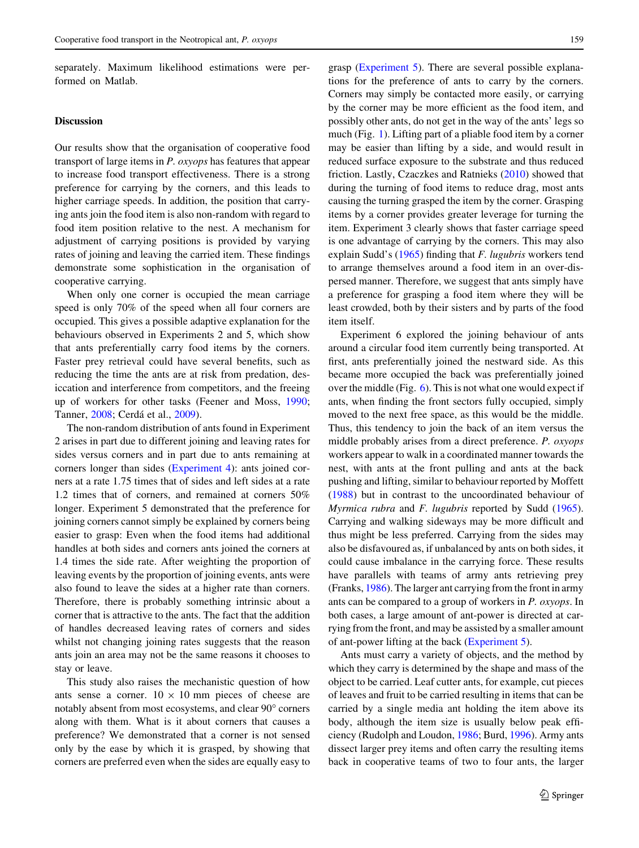separately. Maximum likelihood estimations were performed on Matlab.

# Discussion

Our results show that the organisation of cooperative food transport of large items in P. oxyops has features that appear to increase food transport effectiveness. There is a strong preference for carrying by the corners, and this leads to higher carriage speeds. In addition, the position that carrying ants join the food item is also non-random with regard to food item position relative to the nest. A mechanism for adjustment of carrying positions is provided by varying rates of joining and leaving the carried item. These findings demonstrate some sophistication in the organisation of cooperative carrying.

When only one corner is occupied the mean carriage speed is only 70% of the speed when all four corners are occupied. This gives a possible adaptive explanation for the behaviours observed in Experiments 2 and 5, which show that ants preferentially carry food items by the corners. Faster prey retrieval could have several benefits, such as reducing the time the ants are at risk from predation, desiccation and interference from competitors, and the freeing up of workers for other tasks (Feener and Moss, [1990](#page-7-0); Tanner, [2008;](#page-8-0) Cerdá et al., [2009\)](#page-7-0).

The non-random distribution of ants found in Experiment 2 arises in part due to different joining and leaving rates for sides versus corners and in part due to ants remaining at corners longer than sides [\(Experiment 4](#page-4-0)): ants joined corners at a rate 1.75 times that of sides and left sides at a rate 1.2 times that of corners, and remained at corners 50% longer. Experiment 5 demonstrated that the preference for joining corners cannot simply be explained by corners being easier to grasp: Even when the food items had additional handles at both sides and corners ants joined the corners at 1.4 times the side rate. After weighting the proportion of leaving events by the proportion of joining events, ants were also found to leave the sides at a higher rate than corners. Therefore, there is probably something intrinsic about a corner that is attractive to the ants. The fact that the addition of handles decreased leaving rates of corners and sides whilst not changing joining rates suggests that the reason ants join an area may not be the same reasons it chooses to stay or leave.

This study also raises the mechanistic question of how ants sense a corner.  $10 \times 10$  mm pieces of cheese are notably absent from most ecosystems, and clear 90 $^{\circ}$  corners along with them. What is it about corners that causes a preference? We demonstrated that a corner is not sensed only by the ease by which it is grasped, by showing that corners are preferred even when the sides are equally easy to grasp ([Experiment 5\)](#page-4-0). There are several possible explanations for the preference of ants to carry by the corners. Corners may simply be contacted more easily, or carrying by the corner may be more efficient as the food item, and possibly other ants, do not get in the way of the ants' legs so much (Fig. [1\)](#page-2-0). Lifting part of a pliable food item by a corner may be easier than lifting by a side, and would result in reduced surface exposure to the substrate and thus reduced friction. Lastly, Czaczkes and Ratnieks ([2010\)](#page-7-0) showed that during the turning of food items to reduce drag, most ants causing the turning grasped the item by the corner. Grasping items by a corner provides greater leverage for turning the item. Experiment 3 clearly shows that faster carriage speed is one advantage of carrying by the corners. This may also explain Sudd's ([1965\)](#page-8-0) finding that F. lugubris workers tend to arrange themselves around a food item in an over-dispersed manner. Therefore, we suggest that ants simply have a preference for grasping a food item where they will be least crowded, both by their sisters and by parts of the food item itself.

Experiment 6 explored the joining behaviour of ants around a circular food item currently being transported. At first, ants preferentially joined the nestward side. As this became more occupied the back was preferentially joined over the middle (Fig.  $6$ ). This is not what one would expect if ants, when finding the front sectors fully occupied, simply moved to the next free space, as this would be the middle. Thus, this tendency to join the back of an item versus the middle probably arises from a direct preference. P. oxyops workers appear to walk in a coordinated manner towards the nest, with ants at the front pulling and ants at the back pushing and lifting, similar to behaviour reported by Moffett [\(1988](#page-7-0)) but in contrast to the uncoordinated behaviour of Myrmica rubra and F. lugubris reported by Sudd [\(1965](#page-8-0)). Carrying and walking sideways may be more difficult and thus might be less preferred. Carrying from the sides may also be disfavoured as, if unbalanced by ants on both sides, it could cause imbalance in the carrying force. These results have parallels with teams of army ants retrieving prey (Franks, [1986\)](#page-7-0). The larger ant carrying from the front in army ants can be compared to a group of workers in P. oxyops. In both cases, a large amount of ant-power is directed at carrying from the front, and may be assisted by a smaller amount of ant-power lifting at the back [\(Experiment 5\)](#page-4-0).

Ants must carry a variety of objects, and the method by which they carry is determined by the shape and mass of the object to be carried. Leaf cutter ants, for example, cut pieces of leaves and fruit to be carried resulting in items that can be carried by a single media ant holding the item above its body, although the item size is usually below peak efficiency (Rudolph and Loudon, [1986;](#page-8-0) Burd, [1996](#page-7-0)). Army ants dissect larger prey items and often carry the resulting items back in cooperative teams of two to four ants, the larger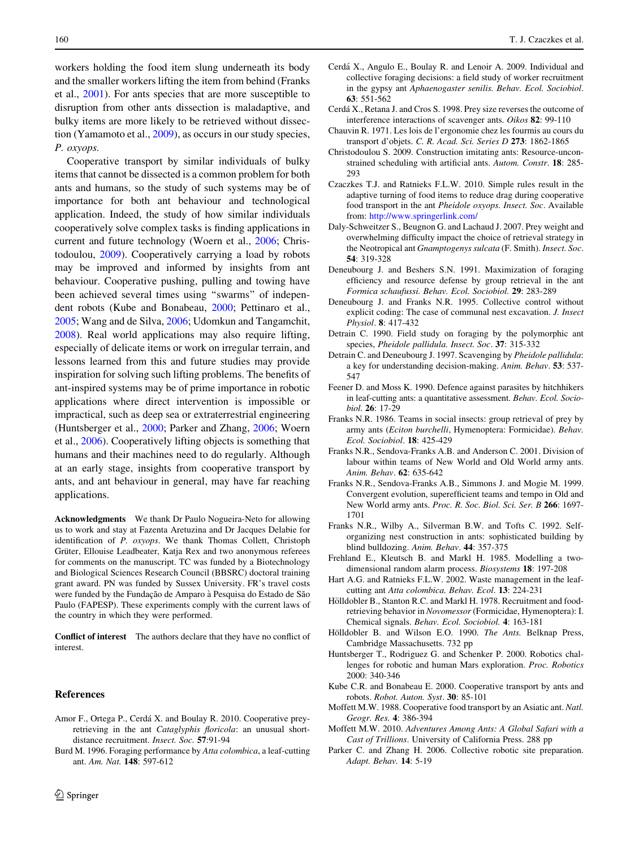<span id="page-7-0"></span>workers holding the food item slung underneath its body and the smaller workers lifting the item from behind (Franks et al., 2001). For ants species that are more susceptible to disruption from other ants dissection is maladaptive, and bulky items are more likely to be retrieved without dissection (Yamamoto et al., [2009](#page-8-0)), as occurs in our study species, P. oxyops.

Cooperative transport by similar individuals of bulky items that cannot be dissected is a common problem for both ants and humans, so the study of such systems may be of importance for both ant behaviour and technological application. Indeed, the study of how similar individuals cooperatively solve complex tasks is finding applications in current and future technology (Woern et al., [2006;](#page-8-0) Christodoulou, 2009). Cooperatively carrying a load by robots may be improved and informed by insights from ant behaviour. Cooperative pushing, pulling and towing have been achieved several times using ''swarms'' of independent robots (Kube and Bonabeau, 2000; Pettinaro et al., [2005;](#page-8-0) Wang and de Silva, [2006](#page-8-0); Udomkun and Tangamchit, [2008\)](#page-8-0). Real world applications may also require lifting, especially of delicate items or work on irregular terrain, and lessons learned from this and future studies may provide inspiration for solving such lifting problems. The benefits of ant-inspired systems may be of prime importance in robotic applications where direct intervention is impossible or impractical, such as deep sea or extraterrestrial engineering (Huntsberger et al., 2000; Parker and Zhang, 2006; Woern et al., [2006](#page-8-0)). Cooperatively lifting objects is something that humans and their machines need to do regularly. Although at an early stage, insights from cooperative transport by ants, and ant behaviour in general, may have far reaching applications.

Acknowledgments We thank Dr Paulo Nogueira-Neto for allowing us to work and stay at Fazenta Aretuzina and Dr Jacques Delabie for identification of P. oxyops. We thank Thomas Collett, Christoph Grüter, Ellouise Leadbeater, Katja Rex and two anonymous referees for comments on the manuscript. TC was funded by a Biotechnology and Biological Sciences Research Council (BBSRC) doctoral training grant award. PN was funded by Sussex University. FR's travel costs were funded by the Fundação de Amparo à Pesquisa do Estado de São Paulo (FAPESP). These experiments comply with the current laws of the country in which they were performed.

Conflict of interest The authors declare that they have no conflict of interest.

#### References

- Amor F., Ortega P., Cerdá X. and Boulay R. 2010. Cooperative preyretrieving in the ant Cataglyphis floricola: an unusual shortdistance recruitment. Insect. Soc. 57:91-94
- Burd M. 1996. Foraging performance by Atta colombica, a leaf-cutting ant. Am. Nat. 148: 597-612
- Cerda´ X., Angulo E., Boulay R. and Lenoir A. 2009. Individual and collective foraging decisions: a field study of worker recruitment in the gypsy ant Aphaenogaster senilis. Behav. Ecol. Sociobiol. 63: 551-562
- Cerdá X., Retana J. and Cros S. 1998. Prey size reverses the outcome of interference interactions of scavenger ants. Oikos 82: 99-110
- Chauvin R. 1971. Les lois de l'ergonomie chez les fourmis au cours du transport d'objets. C. R. Acad. Sci. Series D 273: 1862-1865
- Christodoulou S. 2009. Construction imitating ants: Resource-unconstrained scheduling with artificial ants. Autom. Constr. 18: 285- 293
- Czaczkes T.J. and Ratnieks F.L.W. 2010. Simple rules result in the adaptive turning of food items to reduce drag during cooperative food transport in the ant Pheidole oxyops. Insect. Soc. Available from: <http://www.springerlink.com/>
- Daly-Schweitzer S., Beugnon G. and Lachaud J. 2007. Prey weight and overwhelming difficulty impact the choice of retrieval strategy in the Neotropical ant Gnamptogenys sulcata (F. Smith). Insect. Soc. 54: 319-328
- Deneubourg J. and Beshers S.N. 1991. Maximization of foraging efficiency and resource defense by group retrieval in the ant Formica schaufussi. Behav. Ecol. Sociobiol. 29: 283-289
- Deneubourg J. and Franks N.R. 1995. Collective control without explicit coding: The case of communal nest excavation. J. Insect Physiol. 8: 417-432
- Detrain C. 1990. Field study on foraging by the polymorphic ant species, Pheidole pallidula. Insect. Soc. 37: 315-332
- Detrain C. and Deneubourg J. 1997. Scavenging by Pheidole pallidula: a key for understanding decision-making. Anim. Behav. 53: 537- 547
- Feener D. and Moss K. 1990. Defence against parasites by hitchhikers in leaf-cutting ants: a quantitative assessment. Behav. Ecol. Sociobiol. 26: 17-29
- Franks N.R. 1986. Teams in social insects: group retrieval of prey by army ants (Eciton burchelli, Hymenoptera: Formicidae). Behav. Ecol. Sociobiol. 18: 425-429
- Franks N.R., Sendova-Franks A.B. and Anderson C. 2001. Division of labour within teams of New World and Old World army ants. Anim. Behav. 62: 635-642
- Franks N.R., Sendova-Franks A.B., Simmons J. and Mogie M. 1999. Convergent evolution, superefficient teams and tempo in Old and New World army ants. Proc. R. Soc. Biol. Sci. Ser. B 266: 1697- 1701
- Franks N.R., Wilby A., Silverman B.W. and Tofts C. 1992. Selforganizing nest construction in ants: sophisticated building by blind bulldozing. Anim. Behav. 44: 357-375
- Frehland E., Kleutsch B. and Markl H. 1985. Modelling a twodimensional random alarm process. Biosystems 18: 197-208
- Hart A.G. and Ratnieks F.L.W. 2002. Waste management in the leafcutting ant Atta colombica. Behav. Ecol. 13: 224-231
- Hölldobler B., Stanton R.C. and Markl H. 1978. Recruitment and foodretrieving behavior in Novomessor (Formicidae, Hymenoptera): I. Chemical signals. Behav. Ecol. Sociobiol. 4: 163-181
- Hölldobler B. and Wilson E.O. 1990. The Ants. Belknap Press, Cambridge Massachusetts. 732 pp
- Huntsberger T., Rodriguez G. and Schenker P. 2000. Robotics challenges for robotic and human Mars exploration. Proc. Robotics 2000: 340-346
- Kube C.R. and Bonabeau E. 2000. Cooperative transport by ants and robots. Robot. Auton. Syst. 30: 85-101
- Moffett M.W. 1988. Cooperative food transport by an Asiatic ant. Natl. Geogr. Res. 4: 386-394
- Moffett M.W. 2010. Adventures Among Ants: A Global Safari with a Cast of Trillions. University of California Press. 288 pp
- Parker C. and Zhang H. 2006. Collective robotic site preparation. Adapt. Behav. 14: 5-19